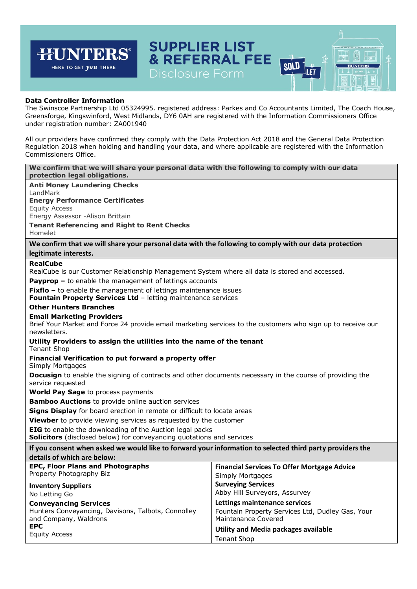| <b>SUPPLIER LIST</b><br><b>HUNTERS®</b><br>HERE TO GET <i>you</i> THERE<br>Disclosure Form                                                                                                                                                                                                                                                                                                                                                                                                                                                   | & REFERRAL FEE<br>SOLD                                                                                          |  |  |  |  |  |  |
|----------------------------------------------------------------------------------------------------------------------------------------------------------------------------------------------------------------------------------------------------------------------------------------------------------------------------------------------------------------------------------------------------------------------------------------------------------------------------------------------------------------------------------------------|-----------------------------------------------------------------------------------------------------------------|--|--|--|--|--|--|
| <b>Data Controller Information</b><br>The Swinscoe Partnership Ltd 05324995. registered address: Parkes and Co Accountants Limited, The Coach House,<br>Greensforge, Kingswinford, West Midlands, DY6 0AH are registered with the Information Commissioners Office<br>under registration number: ZA001940<br>All our providers have confirmed they comply with the Data Protection Act 2018 and the General Data Protection<br>Regulation 2018 when holding and handling your data, and where applicable are registered with the Information |                                                                                                                 |  |  |  |  |  |  |
| Commissioners Office.                                                                                                                                                                                                                                                                                                                                                                                                                                                                                                                        |                                                                                                                 |  |  |  |  |  |  |
| We confirm that we will share your personal data with the following to comply with our data<br>protection legal obligations.                                                                                                                                                                                                                                                                                                                                                                                                                 |                                                                                                                 |  |  |  |  |  |  |
| <b>Anti Money Laundering Checks</b><br>LandMark<br><b>Energy Performance Certificates</b><br><b>Equity Access</b><br>Energy Assessor -Alison Brittain<br><b>Tenant Referencing and Right to Rent Checks</b><br>Homelet                                                                                                                                                                                                                                                                                                                       |                                                                                                                 |  |  |  |  |  |  |
| We confirm that we will share your personal data with the following to comply with our data protection                                                                                                                                                                                                                                                                                                                                                                                                                                       |                                                                                                                 |  |  |  |  |  |  |
| legitimate interests.<br><b>RealCube</b>                                                                                                                                                                                                                                                                                                                                                                                                                                                                                                     |                                                                                                                 |  |  |  |  |  |  |
| RealCube is our Customer Relationship Management System where all data is stored and accessed.                                                                                                                                                                                                                                                                                                                                                                                                                                               |                                                                                                                 |  |  |  |  |  |  |
| <b>Payprop -</b> to enable the management of lettings accounts<br><b>Fixflo</b> $-$ to enable the management of lettings maintenance issues<br><b>Fountain Property Services Ltd - letting maintenance services</b>                                                                                                                                                                                                                                                                                                                          |                                                                                                                 |  |  |  |  |  |  |
| <b>Other Hunters Branches</b>                                                                                                                                                                                                                                                                                                                                                                                                                                                                                                                |                                                                                                                 |  |  |  |  |  |  |
| <b>Email Marketing Providers</b><br>Brief Your Market and Force 24 provide email marketing services to the customers who sign up to receive our<br>newsletters.                                                                                                                                                                                                                                                                                                                                                                              |                                                                                                                 |  |  |  |  |  |  |
| Utility Providers to assign the utilities into the name of the tenant<br><b>Tenant Shop</b>                                                                                                                                                                                                                                                                                                                                                                                                                                                  |                                                                                                                 |  |  |  |  |  |  |
| Financial Verification to put forward a property offer<br>Simply Mortgages                                                                                                                                                                                                                                                                                                                                                                                                                                                                   |                                                                                                                 |  |  |  |  |  |  |
| <b>Docusign</b> to enable the signing of contracts and other documents necessary in the course of providing the<br>service requested                                                                                                                                                                                                                                                                                                                                                                                                         |                                                                                                                 |  |  |  |  |  |  |
| World Pay Sage to process payments                                                                                                                                                                                                                                                                                                                                                                                                                                                                                                           |                                                                                                                 |  |  |  |  |  |  |
| <b>Bamboo Auctions</b> to provide online auction services<br>Signs Display for board erection in remote or difficult to locate areas                                                                                                                                                                                                                                                                                                                                                                                                         |                                                                                                                 |  |  |  |  |  |  |
| Viewber to provide viewing services as requested by the customer<br><b>EIG</b> to enable the downloading of the Auction legal packs<br><b>Solicitors</b> (disclosed below) for conveyancing quotations and services                                                                                                                                                                                                                                                                                                                          |                                                                                                                 |  |  |  |  |  |  |
| If you consent when asked we would like to forward your information to selected third party providers the                                                                                                                                                                                                                                                                                                                                                                                                                                    |                                                                                                                 |  |  |  |  |  |  |
| details of which are below:                                                                                                                                                                                                                                                                                                                                                                                                                                                                                                                  |                                                                                                                 |  |  |  |  |  |  |
| <b>EPC, Floor Plans and Photographs</b><br>Property Photography Biz                                                                                                                                                                                                                                                                                                                                                                                                                                                                          | <b>Financial Services To Offer Mortgage Advice</b><br>Simply Mortgages                                          |  |  |  |  |  |  |
| <b>Inventory Suppliers</b><br>No Letting Go                                                                                                                                                                                                                                                                                                                                                                                                                                                                                                  | <b>Surveying Services</b><br>Abby Hill Surveyors, Assurvey                                                      |  |  |  |  |  |  |
| <b>Conveyancing Services</b><br>Hunters Conveyancing, Davisons, Talbots, Connolley<br>and Company, Waldrons<br><b>EPC</b>                                                                                                                                                                                                                                                                                                                                                                                                                    | Lettings maintenance services<br>Fountain Property Services Ltd, Dudley Gas, Your<br><b>Maintenance Covered</b> |  |  |  |  |  |  |
| <b>Equity Access</b>                                                                                                                                                                                                                                                                                                                                                                                                                                                                                                                         | <b>Utility and Media packages available</b><br><b>Tenant Shop</b>                                               |  |  |  |  |  |  |